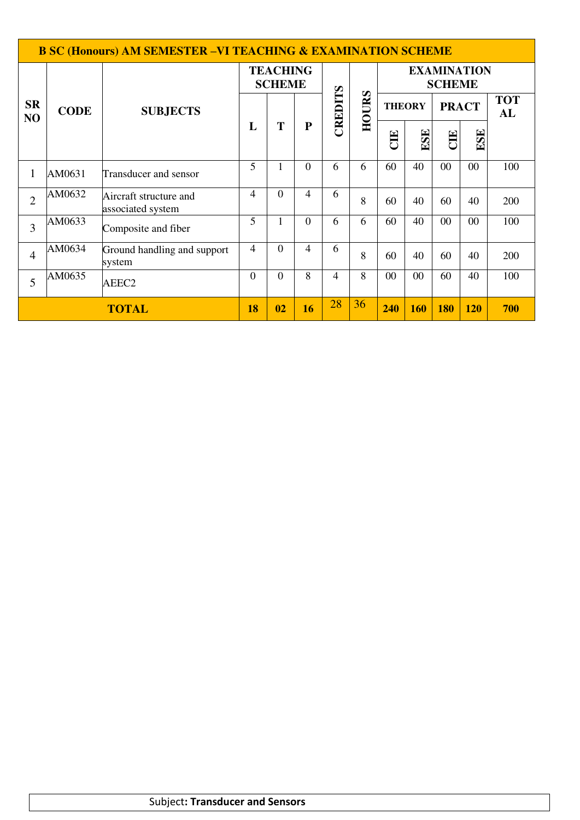| <b>B SC (Honours) AM SEMESTER -VI TEACHING &amp; EXAMINATION SCHEME</b> |             |                                             |                                  |                |           |         |       |                                     |     |              |            |                  |
|-------------------------------------------------------------------------|-------------|---------------------------------------------|----------------------------------|----------------|-----------|---------|-------|-------------------------------------|-----|--------------|------------|------------------|
|                                                                         |             |                                             | <b>TEACHING</b><br><b>SCHEME</b> |                |           |         |       | <b>EXAMINATION</b><br><b>SCHEME</b> |     |              |            |                  |
| <b>SR</b><br>NO                                                         | <b>CODE</b> | <b>SUBJECTS</b>                             |                                  |                |           | CREDITS | HOURS | <b>THEORY</b>                       |     | <b>PRACT</b> |            | <b>TOT</b><br>AL |
|                                                                         |             |                                             | L                                | T              | ${\bf P}$ |         |       | EU                                  | ESE | CIE          | ESE        |                  |
| 1                                                                       | AM0631      | Transducer and sensor                       | 5                                | 1              | $\Omega$  | 6       | 6     | 60                                  | 40  | 00           | 00         | 100              |
| $\overline{2}$                                                          | AM0632      | Aircraft structure and<br>associated system | 4                                | $\overline{0}$ | 4         | 6       | 8     | 60                                  | 40  | 60           | 40         | 200              |
| 3                                                                       | AM0633      | Composite and fiber                         | 5                                | L              | $\Omega$  | 6       | 6     | 60                                  | 40  | 00           | 00         | 100              |
| $\overline{4}$                                                          | AM0634      | Ground handling and support<br>system       | 4                                | $\Omega$       | 4         | 6       | 8     | 60                                  | 40  | 60           | 40         | 200              |
| 5                                                                       | AM0635      | $\theta$                                    | $\overline{0}$                   | 8              | 4         | 8       | 00    | $00\,$                              | 60  | 40           | 100        |                  |
| <b>TOTAL</b>                                                            |             |                                             |                                  | 02             | 16        | 28      | 36    | 240                                 | 160 | <b>180</b>   | <b>120</b> | 700              |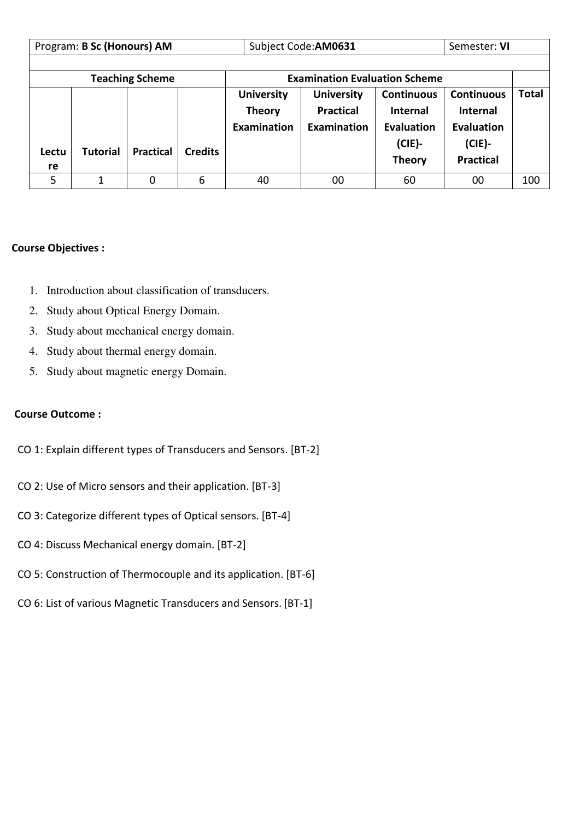|             | Program: B Sc (Honours) AM                                     |                  |                |                    | Subject Code: AM0631 |                   | Semester: VI      |              |
|-------------|----------------------------------------------------------------|------------------|----------------|--------------------|----------------------|-------------------|-------------------|--------------|
|             |                                                                |                  |                |                    |                      |                   |                   |              |
|             | <b>Examination Evaluation Scheme</b><br><b>Teaching Scheme</b> |                  |                |                    |                      |                   |                   |              |
|             |                                                                |                  |                | <b>University</b>  | <b>University</b>    | <b>Continuous</b> | <b>Continuous</b> | <b>Total</b> |
|             |                                                                |                  |                | <b>Theory</b>      | <b>Practical</b>     | <b>Internal</b>   | <b>Internal</b>   |              |
|             |                                                                |                  |                | <b>Examination</b> | Examination          | Evaluation        | <b>Evaluation</b> |              |
|             | <b>Tutorial</b>                                                | <b>Practical</b> | <b>Credits</b> |                    |                      | $(CIE)$ -         | $(CIE)$ -         |              |
| Lectu<br>re |                                                                |                  |                |                    |                      | <b>Theory</b>     | <b>Practical</b>  |              |
| 5           | 1                                                              | 0                | 6              | 40                 | 00                   | 60                | 00                | 100          |

### **Course Objectives :**

- 1. Introduction about classification of transducers.
- 2. Study about Optical Energy Domain.
- 3. Study about mechanical energy domain.
- 4. Study about thermal energy domain.
- 5. Study about magnetic energy Domain.

### **Course Outcome :**

- CO 1: Explain different types of Transducers and Sensors. [BT-2]
- CO 2: Use of Micro sensors and their application. [BT-3]
- CO 3: Categorize different types of Optical sensors. [BT-4]
- CO 4: Discuss Mechanical energy domain. [BT-2]
- CO 5: Construction of Thermocouple and its application. [BT-6]
- CO 6: List of various Magnetic Transducers and Sensors. [BT-1]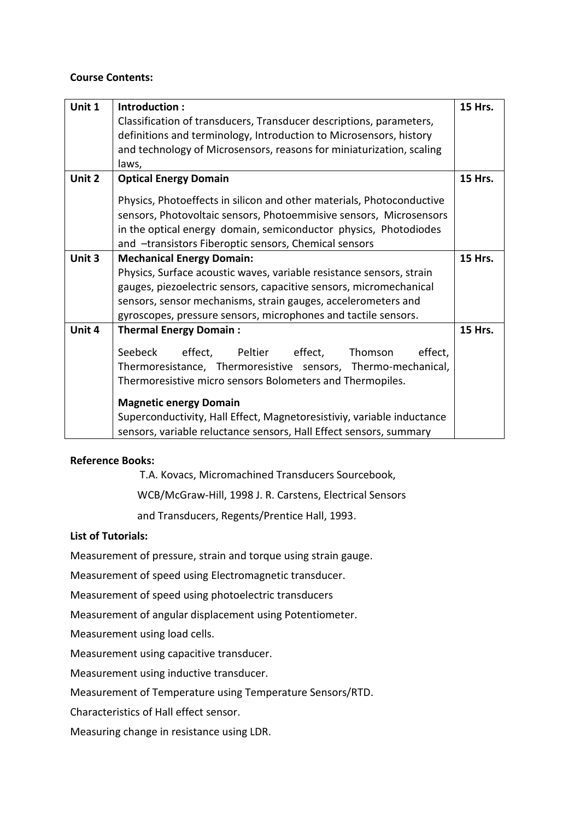### **Course Contents:**

| Unit 1 | Introduction:                                                          | <b>15 Hrs.</b> |  |  |  |  |  |  |  |
|--------|------------------------------------------------------------------------|----------------|--|--|--|--|--|--|--|
|        | Classification of transducers, Transducer descriptions, parameters,    |                |  |  |  |  |  |  |  |
|        | definitions and terminology, Introduction to Microsensors, history     |                |  |  |  |  |  |  |  |
|        | and technology of Microsensors, reasons for miniaturization, scaling   |                |  |  |  |  |  |  |  |
|        | laws,                                                                  |                |  |  |  |  |  |  |  |
| Unit 2 | <b>Optical Energy Domain</b>                                           | <b>15 Hrs.</b> |  |  |  |  |  |  |  |
|        | Physics, Photoeffects in silicon and other materials, Photoconductive  |                |  |  |  |  |  |  |  |
|        | sensors, Photovoltaic sensors, Photoemmisive sensors, Microsensors     |                |  |  |  |  |  |  |  |
|        | in the optical energy domain, semiconductor physics, Photodiodes       |                |  |  |  |  |  |  |  |
|        | and -transistors Fiberoptic sensors, Chemical sensors                  |                |  |  |  |  |  |  |  |
| Unit 3 | <b>Mechanical Energy Domain:</b>                                       | 15 Hrs.        |  |  |  |  |  |  |  |
|        | Physics, Surface acoustic waves, variable resistance sensors, strain   |                |  |  |  |  |  |  |  |
|        | gauges, piezoelectric sensors, capacitive sensors, micromechanical     |                |  |  |  |  |  |  |  |
|        | sensors, sensor mechanisms, strain gauges, accelerometers and          |                |  |  |  |  |  |  |  |
|        | gyroscopes, pressure sensors, microphones and tactile sensors.         |                |  |  |  |  |  |  |  |
| Unit 4 | <b>Thermal Energy Domain:</b>                                          | 15 Hrs.        |  |  |  |  |  |  |  |
|        | Seebeck<br>Peltier<br>effect,<br>effect,<br>effect,<br>Thomson         |                |  |  |  |  |  |  |  |
|        | Thermoresistance, Thermoresistive sensors, Thermo-mechanical,          |                |  |  |  |  |  |  |  |
|        | Thermoresistive micro sensors Bolometers and Thermopiles.              |                |  |  |  |  |  |  |  |
|        | <b>Magnetic energy Domain</b>                                          |                |  |  |  |  |  |  |  |
|        | Superconductivity, Hall Effect, Magnetoresistiviy, variable inductance |                |  |  |  |  |  |  |  |
|        | sensors, variable reluctance sensors, Hall Effect sensors, summary     |                |  |  |  |  |  |  |  |

#### **Reference Books:**

T.A. Kovacs, Micromachined Transducers Sourcebook,

WCB/McGraw-Hill, 1998 J. R. Carstens, Electrical Sensors

and Transducers, Regents/Prentice Hall, 1993.

## **List of Tutorials:**

Measurement of pressure, strain and torque using strain gauge.

Measurement of speed using Electromagnetic transducer.

Measurement of speed using photoelectric transducers

Measurement of angular displacement using Potentiometer.

Measurement using load cells.

Measurement using capacitive transducer.

Measurement using inductive transducer.

Measurement of Temperature using Temperature Sensors/RTD.

Characteristics of Hall effect sensor.

Measuring change in resistance using LDR.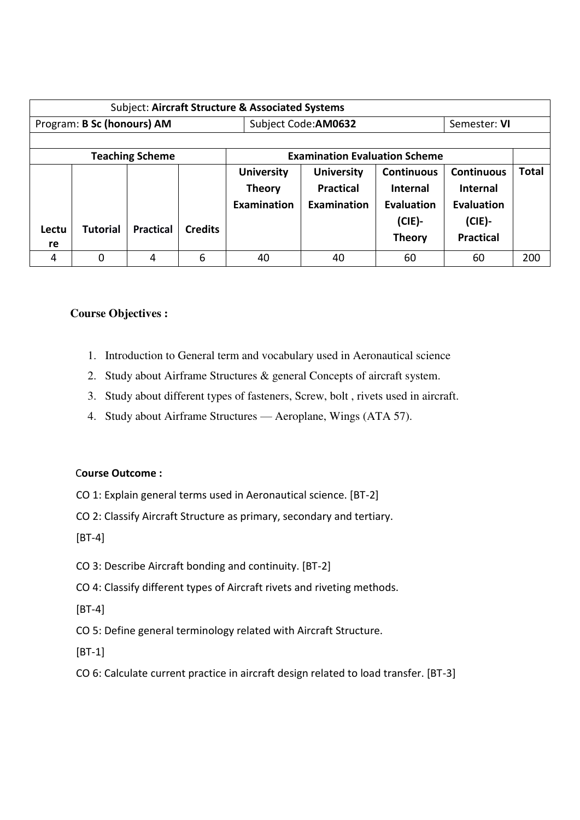| Subject: Aircraft Structure & Associated Systems |                            |                        |                |                   |                                      |                   |                   |              |
|--------------------------------------------------|----------------------------|------------------------|----------------|-------------------|--------------------------------------|-------------------|-------------------|--------------|
|                                                  | Program: B Sc (honours) AM |                        |                |                   | Subject Code: AM0632                 |                   | Semester: VI      |              |
|                                                  |                            |                        |                |                   |                                      |                   |                   |              |
|                                                  |                            | <b>Teaching Scheme</b> |                |                   | <b>Examination Evaluation Scheme</b> |                   |                   |              |
|                                                  |                            |                        |                | <b>University</b> | <b>University</b>                    | <b>Continuous</b> | <b>Continuous</b> | <b>Total</b> |
|                                                  |                            |                        |                | <b>Theory</b>     | <b>Practical</b>                     | <b>Internal</b>   | <b>Internal</b>   |              |
|                                                  |                            |                        |                | Examination       | Examination                          | Evaluation        | <b>Evaluation</b> |              |
| Lectu                                            | <b>Tutorial</b>            | <b>Practical</b>       | <b>Credits</b> |                   |                                      | $(CIE)$ -         | $(CIE)$ -         |              |
| re                                               |                            |                        |                |                   |                                      | <b>Theory</b>     | <b>Practical</b>  |              |
| 4                                                | 0                          | 4                      | 6              | 40                | 40                                   | 60                | 60                | 200          |

## **Course Objectives :**

- 1. Introduction to General term and vocabulary used in Aeronautical science
- 2. Study about Airframe Structures & general Concepts of aircraft system.
- 3. Study about different types of fasteners, Screw, bolt , rivets used in aircraft.
- 4. Study about Airframe Structures Aeroplane, Wings (ATA 57).

## C**ourse Outcome :**

- CO 1: Explain general terms used in Aeronautical science. [BT-2]
- CO 2: Classify Aircraft Structure as primary, secondary and tertiary.

[BT-4]

- CO 3: Describe Aircraft bonding and continuity. [BT-2]
- CO 4: Classify different types of Aircraft rivets and riveting methods.

[BT-4]

CO 5: Define general terminology related with Aircraft Structure.

[BT-1]

CO 6: Calculate current practice in aircraft design related to load transfer. [BT-3]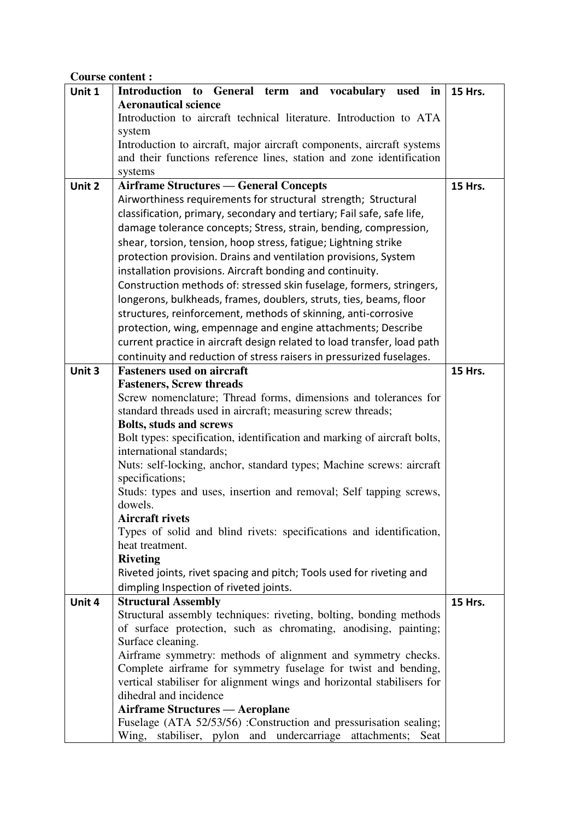# **Course content :**

| Unit 1 | <b>Introduction</b><br>General term and vocabulary<br>used in<br>to                                                                   | 15 Hrs.        |  |  |  |  |  |  |  |
|--------|---------------------------------------------------------------------------------------------------------------------------------------|----------------|--|--|--|--|--|--|--|
|        | <b>Aeronautical science</b>                                                                                                           |                |  |  |  |  |  |  |  |
|        | Introduction to aircraft technical literature. Introduction to ATA                                                                    |                |  |  |  |  |  |  |  |
|        | system                                                                                                                                |                |  |  |  |  |  |  |  |
|        | Introduction to aircraft, major aircraft components, aircraft systems                                                                 |                |  |  |  |  |  |  |  |
|        | and their functions reference lines, station and zone identification                                                                  |                |  |  |  |  |  |  |  |
|        | systems                                                                                                                               |                |  |  |  |  |  |  |  |
| Unit 2 | <b>Airframe Structures — General Concepts</b>                                                                                         | 15 Hrs.        |  |  |  |  |  |  |  |
|        | Airworthiness requirements for structural strength; Structural                                                                        |                |  |  |  |  |  |  |  |
|        | classification, primary, secondary and tertiary; Fail safe, safe life,                                                                |                |  |  |  |  |  |  |  |
|        | damage tolerance concepts; Stress, strain, bending, compression,                                                                      |                |  |  |  |  |  |  |  |
|        | shear, torsion, tension, hoop stress, fatigue; Lightning strike                                                                       |                |  |  |  |  |  |  |  |
|        | protection provision. Drains and ventilation provisions, System                                                                       |                |  |  |  |  |  |  |  |
|        | installation provisions. Aircraft bonding and continuity.                                                                             |                |  |  |  |  |  |  |  |
|        | Construction methods of: stressed skin fuselage, formers, stringers,                                                                  |                |  |  |  |  |  |  |  |
|        | longerons, bulkheads, frames, doublers, struts, ties, beams, floor                                                                    |                |  |  |  |  |  |  |  |
|        | structures, reinforcement, methods of skinning, anti-corrosive                                                                        |                |  |  |  |  |  |  |  |
|        | protection, wing, empennage and engine attachments; Describe                                                                          |                |  |  |  |  |  |  |  |
|        | current practice in aircraft design related to load transfer, load path                                                               |                |  |  |  |  |  |  |  |
|        | continuity and reduction of stress raisers in pressurized fuselages.                                                                  |                |  |  |  |  |  |  |  |
| Unit 3 | <b>Fasteners used on aircraft</b>                                                                                                     | <b>15 Hrs.</b> |  |  |  |  |  |  |  |
|        | <b>Fasteners, Screw threads</b>                                                                                                       |                |  |  |  |  |  |  |  |
|        | Screw nomenclature; Thread forms, dimensions and tolerances for<br>standard threads used in aircraft; measuring screw threads;        |                |  |  |  |  |  |  |  |
|        | <b>Bolts, studs and screws</b>                                                                                                        |                |  |  |  |  |  |  |  |
|        | Bolt types: specification, identification and marking of aircraft bolts,                                                              |                |  |  |  |  |  |  |  |
|        | international standards;                                                                                                              |                |  |  |  |  |  |  |  |
|        | Nuts: self-locking, anchor, standard types; Machine screws: aircraft                                                                  |                |  |  |  |  |  |  |  |
|        | specifications;                                                                                                                       |                |  |  |  |  |  |  |  |
|        | Studs: types and uses, insertion and removal; Self tapping screws,                                                                    |                |  |  |  |  |  |  |  |
|        | dowels.                                                                                                                               |                |  |  |  |  |  |  |  |
|        | Aircraft rivets                                                                                                                       |                |  |  |  |  |  |  |  |
|        | Types of solid and blind rivets: specifications and identification,                                                                   |                |  |  |  |  |  |  |  |
|        | heat treatment.                                                                                                                       |                |  |  |  |  |  |  |  |
|        | <b>Riveting</b>                                                                                                                       |                |  |  |  |  |  |  |  |
|        | Riveted joints, rivet spacing and pitch; Tools used for riveting and                                                                  |                |  |  |  |  |  |  |  |
|        | dimpling Inspection of riveted joints.                                                                                                |                |  |  |  |  |  |  |  |
| Unit 4 | <b>Structural Assembly</b>                                                                                                            | <b>15 Hrs.</b> |  |  |  |  |  |  |  |
|        | Structural assembly techniques: riveting, bolting, bonding methods<br>of surface protection, such as chromating, anodising, painting; |                |  |  |  |  |  |  |  |
|        | Surface cleaning.                                                                                                                     |                |  |  |  |  |  |  |  |
|        | Airframe symmetry: methods of alignment and symmetry checks.                                                                          |                |  |  |  |  |  |  |  |
|        | Complete airframe for symmetry fuselage for twist and bending,                                                                        |                |  |  |  |  |  |  |  |
|        | vertical stabiliser for alignment wings and horizontal stabilisers for                                                                |                |  |  |  |  |  |  |  |
|        | dihedral and incidence                                                                                                                |                |  |  |  |  |  |  |  |
|        | <b>Airframe Structures — Aeroplane</b>                                                                                                |                |  |  |  |  |  |  |  |
|        | Fuselage (ATA 52/53/56) :Construction and pressurisation sealing;                                                                     |                |  |  |  |  |  |  |  |
|        | Wing, stabiliser, pylon and undercarriage attachments; Seat                                                                           |                |  |  |  |  |  |  |  |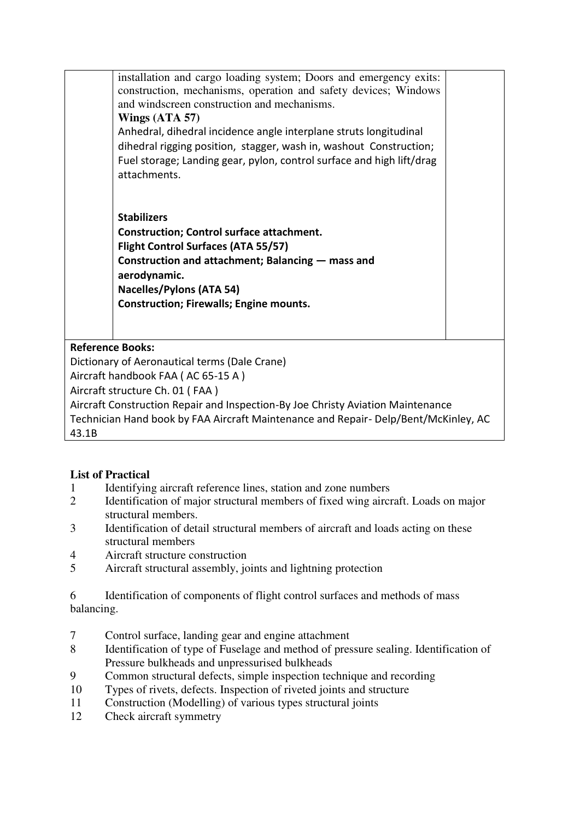installation and cargo loading system; Doors and emergency exits: construction, mechanisms, operation and safety devices; Windows and windscreen construction and mechanisms. **Wings (ATA 57)**  Anhedral, dihedral incidence angle interplane struts longitudinal dihedral rigging position, stagger, wash in, washout Construction; Fuel storage; Landing gear, pylon, control surface and high lift/drag attachments.

**Stabilizers Construction; Control surface attachment. Flight Control Surfaces (ATA 55/57) Construction and attachment; Balancing — mass and aerodynamic. Nacelles/Pylons (ATA 54) Construction; Firewalls; Engine mounts.** 

# **Reference Books:**

Dictionary of Aeronautical terms (Dale Crane)

Aircraft handbook FAA ( AC 65-15 A )

Aircraft structure Ch. 01 ( FAA )

Aircraft Construction Repair and Inspection-By Joe Christy Aviation Maintenance Technician Hand book by FAA Aircraft Maintenance and Repair- Delp/Bent/McKinley, AC 43.1B

# **List of Practical**

- 1 Identifying aircraft reference lines, station and zone numbers
- 2 Identification of major structural members of fixed wing aircraft. Loads on major structural members.
- 3 Identification of detail structural members of aircraft and loads acting on these structural members
- 4 Aircraft structure construction
- 5 Aircraft structural assembly, joints and lightning protection

6 Identification of components of flight control surfaces and methods of mass balancing.

- 7 Control surface, landing gear and engine attachment
- 8 Identification of type of Fuselage and method of pressure sealing. Identification of Pressure bulkheads and unpressurised bulkheads
- 9 Common structural defects, simple inspection technique and recording
- 10 Types of rivets, defects. Inspection of riveted joints and structure
- 11 Construction (Modelling) of various types structural joints
- 12 Check aircraft symmetry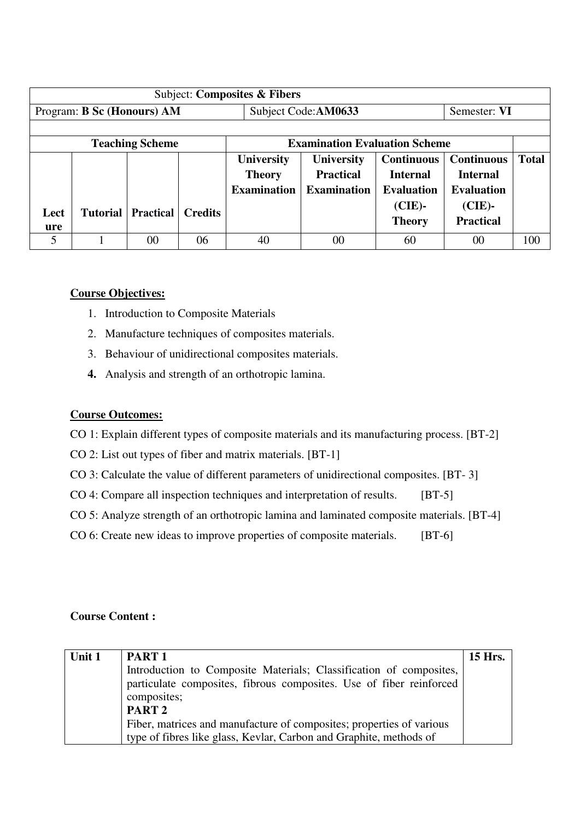|             |                            |                        |                | Subject: Composites & Fibers |                                      |                   |                   |              |
|-------------|----------------------------|------------------------|----------------|------------------------------|--------------------------------------|-------------------|-------------------|--------------|
|             | Program: B Sc (Honours) AM |                        |                |                              | Subject Code:AM0633                  |                   | Semester: VI      |              |
|             |                            |                        |                |                              |                                      |                   |                   |              |
|             |                            | <b>Teaching Scheme</b> |                |                              | <b>Examination Evaluation Scheme</b> |                   |                   |              |
|             |                            |                        |                | <b>University</b>            | <b>University</b>                    | <b>Continuous</b> | <b>Continuous</b> | <b>Total</b> |
|             |                            |                        |                | <b>Theory</b>                | <b>Practical</b>                     | <b>Internal</b>   | <b>Internal</b>   |              |
|             |                            |                        |                | <b>Examination</b>           | <b>Examination</b>                   | <b>Evaluation</b> | <b>Evaluation</b> |              |
|             |                            | <b>Practical</b>       | <b>Credits</b> |                              |                                      | $(CIE)$ -         | $(CIE)$ -         |              |
| Lect<br>ure | <b>Tutorial</b>            |                        |                |                              |                                      | <b>Theory</b>     | <b>Practical</b>  |              |
| 5           |                            | 00                     | 06             | 40                           | 00                                   | 60                | 00                | 100          |
|             |                            |                        |                |                              |                                      |                   |                   |              |

### **Course Objectives:**

- 1. Introduction to Composite Materials
- 2. Manufacture techniques of composites materials.
- 3. Behaviour of unidirectional composites materials.
- **4.** Analysis and strength of an orthotropic lamina.

### **Course Outcomes:**

CO 1: Explain different types of composite materials and its manufacturing process. [BT-2]

- CO 2: List out types of fiber and matrix materials. [BT-1]
- CO 3: Calculate the value of different parameters of unidirectional composites. [BT- 3]
- CO 4: Compare all inspection techniques and interpretation of results. [BT-5]
- CO 5: Analyze strength of an orthotropic lamina and laminated composite materials. [BT-4]
- CO 6: Create new ideas to improve properties of composite materials. [BT-6]

#### **Course Content :**

| Unit 1 | PART <sub>1</sub>                                                    | <b>15 Hrs.</b> |
|--------|----------------------------------------------------------------------|----------------|
|        | Introduction to Composite Materials; Classification of composites,   |                |
|        | particulate composites, fibrous composites. Use of fiber reinforced  |                |
|        | composites;                                                          |                |
|        | PART <sub>2</sub>                                                    |                |
|        | Fiber, matrices and manufacture of composites; properties of various |                |
|        | type of fibres like glass, Kevlar, Carbon and Graphite, methods of   |                |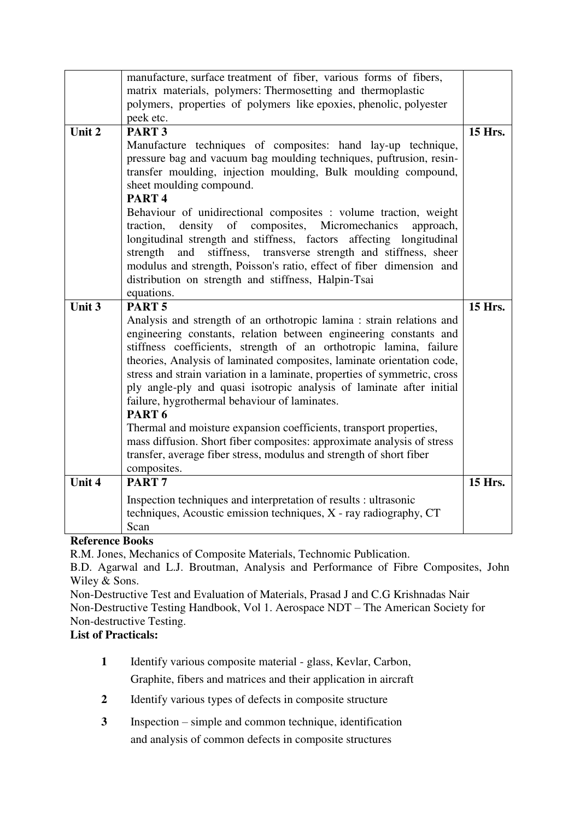|        | manufacture, surface treatment of fiber, various forms of fibers,<br>matrix materials, polymers: Thermosetting and thermoplastic                                                                                                                                                                                                                                                                                                                                                                                                                                                                                                                                      |                |
|--------|-----------------------------------------------------------------------------------------------------------------------------------------------------------------------------------------------------------------------------------------------------------------------------------------------------------------------------------------------------------------------------------------------------------------------------------------------------------------------------------------------------------------------------------------------------------------------------------------------------------------------------------------------------------------------|----------------|
|        | polymers, properties of polymers like epoxies, phenolic, polyester                                                                                                                                                                                                                                                                                                                                                                                                                                                                                                                                                                                                    |                |
|        | peek etc.                                                                                                                                                                                                                                                                                                                                                                                                                                                                                                                                                                                                                                                             |                |
| Unit 2 | PART <sub>3</sub>                                                                                                                                                                                                                                                                                                                                                                                                                                                                                                                                                                                                                                                     | 15 Hrs.        |
|        | Manufacture techniques of composites: hand lay-up technique,<br>pressure bag and vacuum bag moulding techniques, puftrusion, resin-<br>transfer moulding, injection moulding, Bulk moulding compound,<br>sheet moulding compound.<br>PART <sub>4</sub><br>Behaviour of unidirectional composites : volume traction, weight<br>density of composites, Micromechanics<br>traction,<br>approach,<br>longitudinal strength and stiffness, factors affecting longitudinal<br>stiffness, transverse strength and stiffness, sheer<br>and<br>strength                                                                                                                        |                |
|        | modulus and strength, Poisson's ratio, effect of fiber dimension and<br>distribution on strength and stiffness, Halpin-Tsai                                                                                                                                                                                                                                                                                                                                                                                                                                                                                                                                           |                |
|        | equations.                                                                                                                                                                                                                                                                                                                                                                                                                                                                                                                                                                                                                                                            |                |
| Unit 3 | PART <sub>5</sub>                                                                                                                                                                                                                                                                                                                                                                                                                                                                                                                                                                                                                                                     | <b>15 Hrs.</b> |
|        | Analysis and strength of an orthotropic lamina : strain relations and<br>engineering constants, relation between engineering constants and<br>stiffness coefficients, strength of an orthotropic lamina, failure<br>theories, Analysis of laminated composites, laminate orientation code,<br>stress and strain variation in a laminate, properties of symmetric, cross<br>ply angle-ply and quasi isotropic analysis of laminate after initial<br>failure, hygrothermal behaviour of laminates.<br>PART <sub>6</sub><br>Thermal and moisture expansion coefficients, transport properties,<br>mass diffusion. Short fiber composites: approximate analysis of stress |                |
|        | transfer, average fiber stress, modulus and strength of short fiber<br>composites.                                                                                                                                                                                                                                                                                                                                                                                                                                                                                                                                                                                    |                |
| Unit 4 | PART <sub>7</sub>                                                                                                                                                                                                                                                                                                                                                                                                                                                                                                                                                                                                                                                     | 15 Hrs.        |
|        | Inspection techniques and interpretation of results : ultrasonic<br>techniques, Acoustic emission techniques, X - ray radiography, CT<br>Scan                                                                                                                                                                                                                                                                                                                                                                                                                                                                                                                         |                |

## **Reference Books**

R.M. Jones, Mechanics of Composite Materials, Technomic Publication.

B.D. Agarwal and L.J. Broutman, Analysis and Performance of Fibre Composites, John Wiley & Sons.

Non-Destructive Test and Evaluation of Materials, Prasad J and C.G Krishnadas Nair Non-Destructive Testing Handbook, Vol 1. Aerospace NDT – The American Society for Non-destructive Testing.

# **List of Practicals:**

- **1** Identify various composite material glass, Kevlar, Carbon, Graphite, fibers and matrices and their application in aircraft
- **2** Identify various types of defects in composite structure
- **3** Inspection simple and common technique, identification and analysis of common defects in composite structures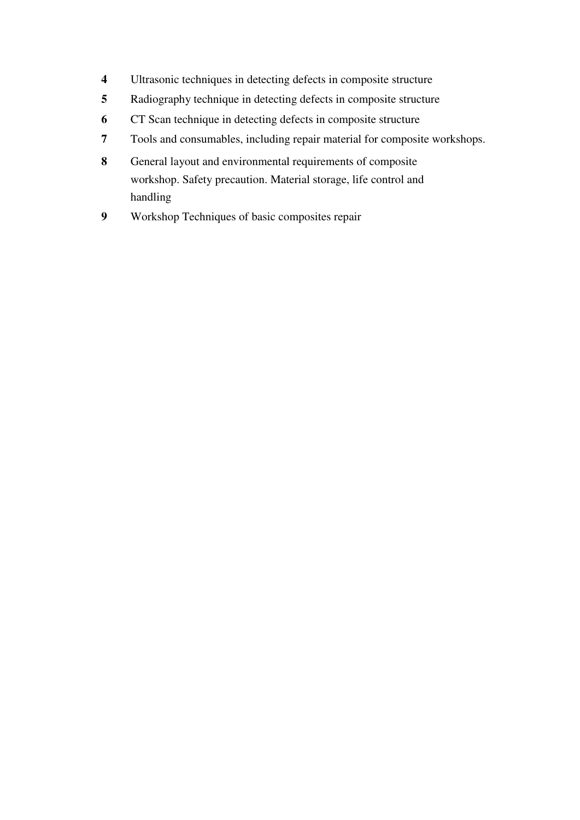- Ultrasonic techniques in detecting defects in composite structure
- Radiography technique in detecting defects in composite structure
- CT Scan technique in detecting defects in composite structure
- Tools and consumables, including repair material for composite workshops.
- General layout and environmental requirements of composite workshop. Safety precaution. Material storage, life control and handling
- Workshop Techniques of basic composites repair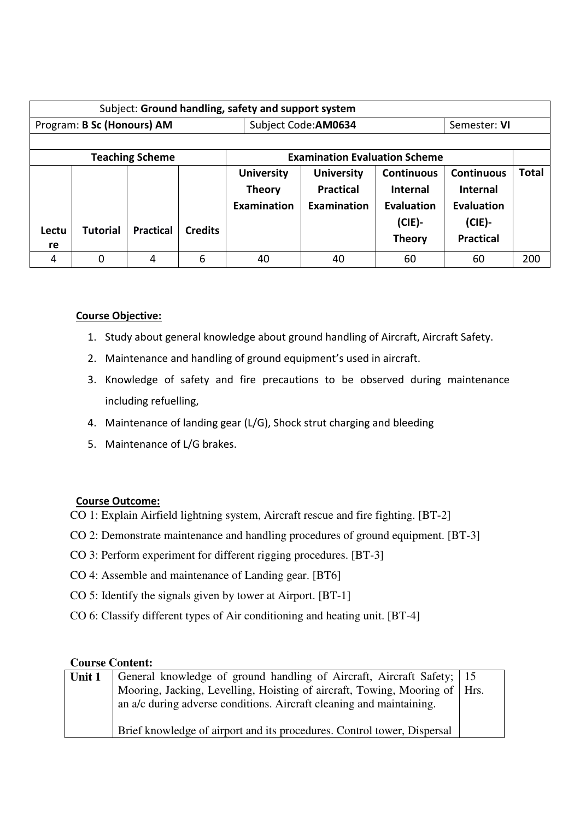| Subject: Ground handling, safety and support system |                 |                        |                |                    |                                      |                   |                   |              |
|-----------------------------------------------------|-----------------|------------------------|----------------|--------------------|--------------------------------------|-------------------|-------------------|--------------|
| Program: B Sc (Honours) AM                          |                 |                        |                |                    | Subject Code: AM0634                 |                   | Semester: VI      |              |
|                                                     |                 |                        |                |                    |                                      |                   |                   |              |
|                                                     |                 | <b>Teaching Scheme</b> |                |                    | <b>Examination Evaluation Scheme</b> |                   |                   |              |
|                                                     |                 |                        |                | <b>University</b>  | <b>University</b>                    | <b>Continuous</b> | <b>Continuous</b> | <b>Total</b> |
|                                                     |                 |                        |                | <b>Theory</b>      | <b>Practical</b>                     | <b>Internal</b>   | <b>Internal</b>   |              |
|                                                     |                 |                        |                | <b>Examination</b> | Examination                          | <b>Evaluation</b> | Evaluation        |              |
|                                                     | <b>Tutorial</b> | <b>Practical</b>       | <b>Credits</b> |                    |                                      | $(CIE)$ -         | $(CIE)$ -         |              |
| Lectu<br>re                                         |                 |                        |                |                    |                                      | <b>Theory</b>     | <b>Practical</b>  |              |
| 4                                                   | O               | 4                      | 6              | 40                 | 40                                   | 60                | 60                | 200          |

# **Course Objective:**

- 1. Study about general knowledge about ground handling of Aircraft, Aircraft Safety.
- 2. Maintenance and handling of ground equipment's used in aircraft.
- 3. Knowledge of safety and fire precautions to be observed during maintenance including refuelling,
- 4. Maintenance of landing gear (L/G), Shock strut charging and bleeding
- 5. Maintenance of L/G brakes.

## **Course Outcome:**

- CO 1: Explain Airfield lightning system, Aircraft rescue and fire fighting. [BT-2]
- CO 2: Demonstrate maintenance and handling procedures of ground equipment. [BT-3]
- CO 3: Perform experiment for different rigging procedures. [BT-3]
- CO 4: Assemble and maintenance of Landing gear. [BT6]
- CO 5: Identify the signals given by tower at Airport. [BT-1]
- CO 6: Classify different types of Air conditioning and heating unit. [BT-4]

## **Course Content:**

| Unit 1 | General knowledge of ground handling of Aircraft, Aircraft Safety; 15        |  |
|--------|------------------------------------------------------------------------------|--|
|        | Mooring, Jacking, Levelling, Hoisting of aircraft, Towing, Mooring of   Hrs. |  |
|        | an a/c during adverse conditions. Aircraft cleaning and maintaining.         |  |
|        |                                                                              |  |
|        | Brief knowledge of airport and its procedures. Control tower, Dispersal      |  |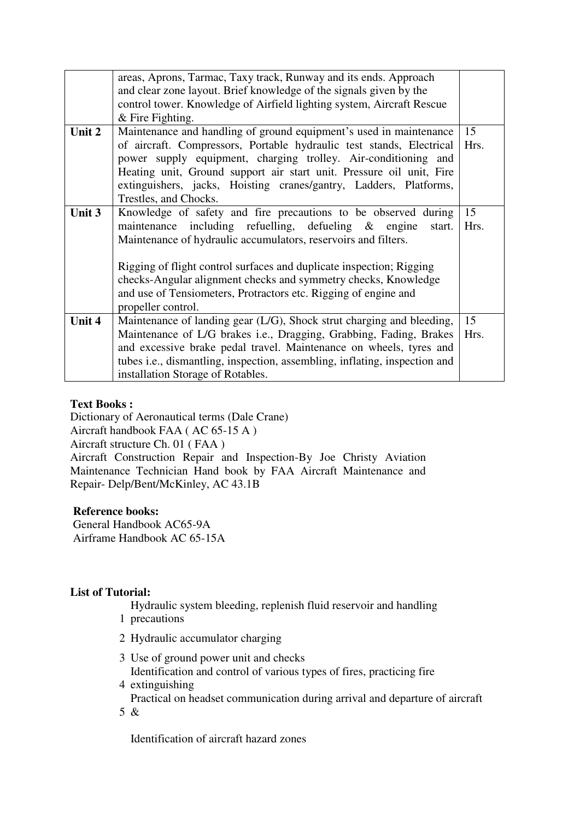|        | areas, Aprons, Tarmac, Taxy track, Runway and its ends. Approach                   |      |
|--------|------------------------------------------------------------------------------------|------|
|        | and clear zone layout. Brief knowledge of the signals given by the                 |      |
|        | control tower. Knowledge of Airfield lighting system, Aircraft Rescue              |      |
|        | $&$ Fire Fighting.                                                                 |      |
| Unit 2 | Maintenance and handling of ground equipment's used in maintenance                 | 15   |
|        | of aircraft. Compressors, Portable hydraulic test stands, Electrical               | Hrs. |
|        | power supply equipment, charging trolley. Air-conditioning and                     |      |
|        | Heating unit, Ground support air start unit. Pressure oil unit, Fire               |      |
|        | extinguishers, jacks, Hoisting cranes/gantry, Ladders, Platforms,                  |      |
|        | Trestles, and Chocks.                                                              |      |
| Unit 3 | Knowledge of safety and fire precautions to be observed during                     | 15   |
|        | maintenance including refuelling, defueling $\&$ engine<br>start.                  | Hrs. |
|        | Maintenance of hydraulic accumulators, reservoirs and filters.                     |      |
|        |                                                                                    |      |
|        | Rigging of flight control surfaces and duplicate inspection; Rigging               |      |
|        | checks-Angular alignment checks and symmetry checks, Knowledge                     |      |
|        | and use of Tensiometers, Protractors etc. Rigging of engine and                    |      |
|        | propeller control.                                                                 |      |
| Unit 4 | Maintenance of landing gear (L/G), Shock strut charging and bleeding,              | 15   |
|        | Maintenance of L/G brakes i.e., Dragging, Grabbing, Fading, Brakes                 | Hrs. |
|        | and excessive brake pedal travel. Maintenance on wheels, tyres and                 |      |
|        | tubes <i>i.e.</i> , dismantling, inspection, assembling, inflating, inspection and |      |
|        | installation Storage of Rotables.                                                  |      |

### **Text Books :**

Dictionary of Aeronautical terms (Dale Crane) Aircraft handbook FAA ( AC 65-15 A ) Aircraft structure Ch. 01 ( FAA )

Aircraft Construction Repair and Inspection-By Joe Christy Aviation Maintenance Technician Hand book by FAA Aircraft Maintenance and Repair- Delp/Bent/McKinley, AC 43.1B

#### **Reference books:**

 General Handbook AC65-9A Airframe Handbook AC 65-15A

#### **List of Tutorial:**

Hydraulic system bleeding, replenish fluid reservoir and handling

- 1 precautions
- 2 Hydraulic accumulator charging
- 3 Use of ground power unit and checks Identification and control of various types of fires, practicing fire
- 4 extinguishing

Practical on headset communication during arrival and departure of aircraft

5 &

Identification of aircraft hazard zones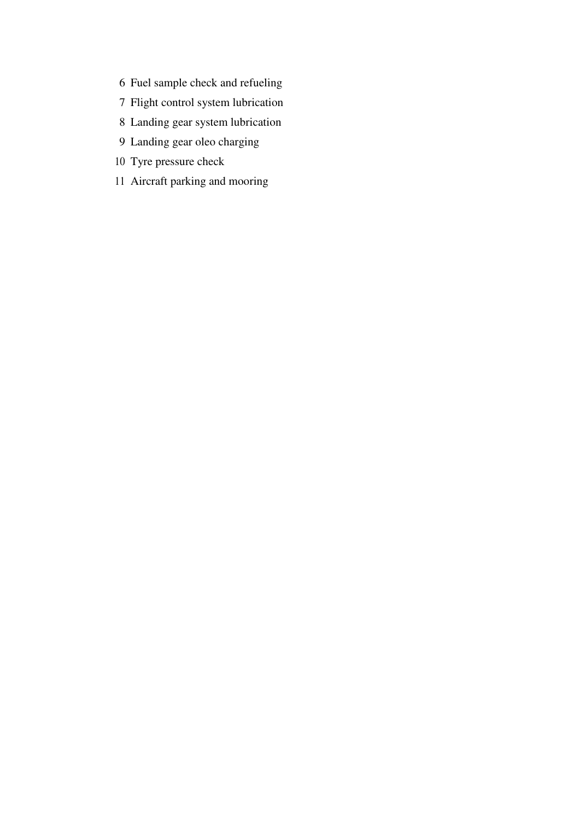- 6 Fuel sample check and refueling
- 7 Flight control system lubrication
- 8 Landing gear system lubrication
- 9 Landing gear oleo charging
- 10 Tyre pressure check
- 11 Aircraft parking and mooring